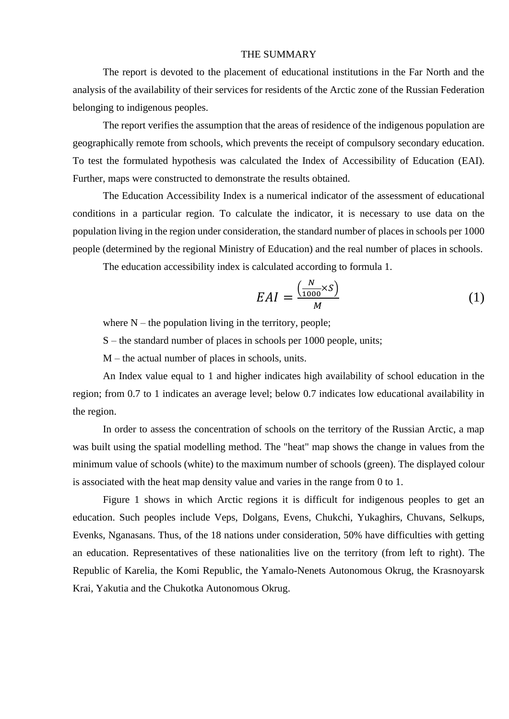## THE SUMMARY

The report is devoted to the placement of educational institutions in the Far North and the analysis of the availability of their services for residents of the Arctic zone of the Russian Federation belonging to indigenous peoples.

The report verifies the assumption that the areas of residence of the indigenous population are geographically remote from schools, which prevents the receipt of compulsory secondary education. To test the formulated hypothesis was calculated the Index of Accessibility of Education (EAI). Further, maps were constructed to demonstrate the results obtained.

The Education Accessibility Index is a numerical indicator of the assessment of educational conditions in a particular region. To calculate the indicator, it is necessary to use data on the population living in the region under consideration, the standard number of places in schools per 1000 people (determined by the regional Ministry of Education) and the real number of places in schools.

The education accessibility index is calculated according to formula 1.

$$
EAI = \frac{\left(\frac{N}{1000} \times S\right)}{M} \tag{1}
$$

where  $N$  – the population living in the territory, people;

S – the standard number of places in schools per 1000 people, units;

M – the actual number of places in schools, units.

An Index value equal to 1 and higher indicates high availability of school education in the region; from 0.7 to 1 indicates an average level; below 0.7 indicates low educational availability in the region.

In order to assess the concentration of schools on the territory of the Russian Arctic, a map was built using the spatial modelling method. The "heat" map shows the change in values from the minimum value of schools (white) to the maximum number of schools (green). The displayed colour is associated with the heat map density value and varies in the range from 0 to 1.

Figure 1 shows in which Arctic regions it is difficult for indigenous peoples to get an education. Such peoples include Veps, Dolgans, Evens, Chukchi, Yukaghirs, Chuvans, Selkups, Evenks, Nganasans. Thus, of the 18 nations under consideration, 50% have difficulties with getting an education. Representatives of these nationalities live on the territory (from left to right). The Republic of Karelia, the Komi Republic, the Yamalo-Nenets Autonomous Okrug, the Krasnoyarsk Krai, Yakutia and the Chukotka Autonomous Okrug.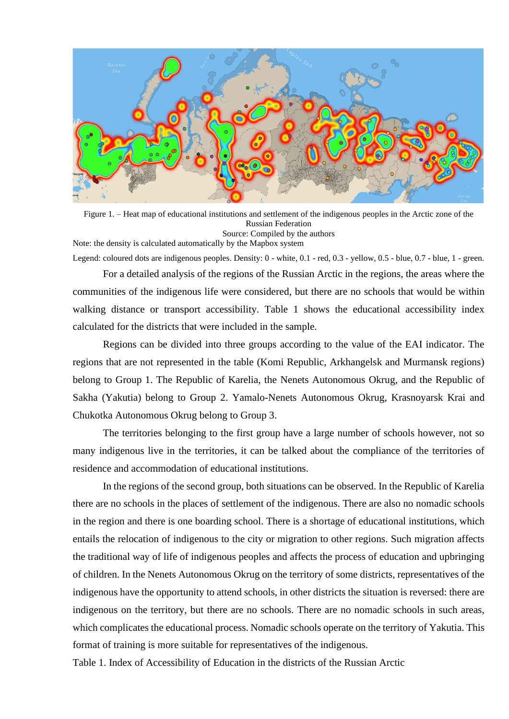

Figure 1. – Heat map of educational institutions and settlement of the indigenous peoples in the Arctic zone of the Russian Federation Source: Compiled by the authors

Note: the density is calculated automatically by the Mapbox system

Legend: coloured dots are indigenous peoples. Density: 0 - white, 0.1 - red, 0.3 - yellow, 0.5 - blue, 0.7 - blue, 1 - green.

For a detailed analysis of the regions of the Russian Arctic in the regions, the areas where the communities of the indigenous life were considered, but there are no schools that would be within walking distance or transport accessibility. Table 1 shows the educational accessibility index calculated for the districts that were included in the sample.

Regions can be divided into three groups according to the value of the EAI indicator. The regions that are not represented in the table (Komi Republic, Arkhangelsk and Murmansk regions) belong to Group 1. The Republic of Karelia, the Nenets Autonomous Okrug, and the Republic of Sakha (Yakutia) belong to Group 2. Yamalo-Nenets Autonomous Okrug, Krasnoyarsk Krai and Chukotka Autonomous Okrug belong to Group 3.

The territories belonging to the first group have a large number of schools however, not so many indigenous live in the territories, it can be talked about the compliance of the territories of residence and accommodation of educational institutions.

In the regions of the second group, both situations can be observed. In the Republic of Karelia there are no schools in the places of settlement of the indigenous. There are also no nomadic schools in the region and there is one boarding school. There is a shortage of educational institutions, which entails the relocation of indigenous to the city or migration to other regions. Such migration affects the traditional way of life of indigenous peoples and affects the process of education and upbringing of children. In the Nenets Autonomous Okrug on the territory of some districts, representatives of the indigenous have the opportunity to attend schools, in other districts the situation is reversed: there are indigenous on the territory, but there are no schools. There are no nomadic schools in such areas, which complicates the educational process. Nomadic schools operate on the territory of Yakutia. This format of training is more suitable for representatives of the indigenous.

Table 1. Index of Accessibility of Education in the districts of the Russian Arctic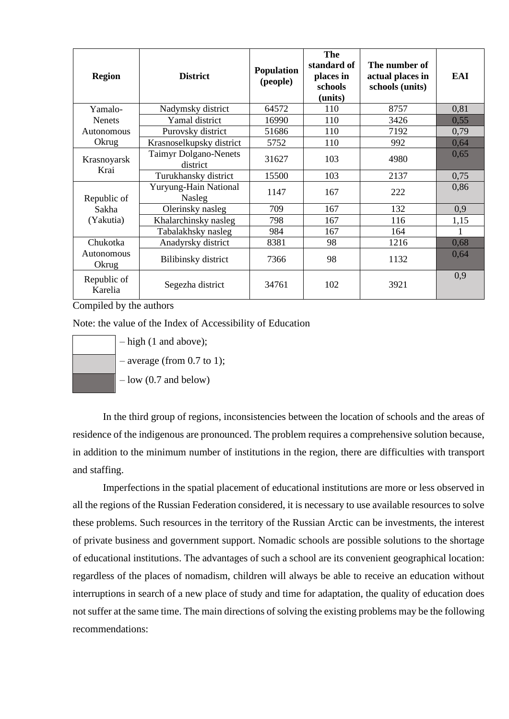| <b>Region</b>                     | <b>District</b>                          | Population<br>(people) | The<br>standard of<br>places in<br>schools<br>(units) | The number of<br>actual places in<br>schools (units) | EAI  |
|-----------------------------------|------------------------------------------|------------------------|-------------------------------------------------------|------------------------------------------------------|------|
| Yamalo-                           | Nadymsky district                        | 64572                  | 110                                                   | 8757                                                 | 0,81 |
| <b>Nenets</b><br>Autonomous       | Yamal district                           | 16990                  | 110                                                   | 3426                                                 | 0,55 |
|                                   | Purovsky district                        | 51686                  | 110                                                   | 7192                                                 | 0,79 |
| Okrug                             | Krasnoselkupsky district                 | 5752                   | 110                                                   | 992                                                  | 0,64 |
| Krasnoyarsk<br>Krai               | <b>Taimyr Dolgano-Nenets</b><br>district | 31627                  | 103                                                   | 4980                                                 | 0,65 |
|                                   | Turukhansky district                     | 15500                  | 103                                                   | 2137                                                 | 0,75 |
| Republic of<br>Sakha<br>(Yakutia) | Yuryung-Hain National<br><b>Nasleg</b>   | 1147                   | 167                                                   | 222                                                  | 0,86 |
|                                   | Olerinsky nasleg                         | 709                    | 167                                                   | 132                                                  | 0,9  |
|                                   | Khalarchinsky nasleg                     | 798                    | 167                                                   | 116                                                  | 1,15 |
|                                   | Tabalakhsky nasleg                       | 984                    | 167                                                   | 164                                                  |      |
| Chukotka<br>Autonomous<br>Okrug   | Anadyrsky district                       | 8381                   | 98                                                    | 1216                                                 | 0,68 |
|                                   | Bilibinsky district                      | 7366                   | 98                                                    | 1132                                                 | 0,64 |
| Republic of<br>Karelia            | Segezha district                         | 34761                  | 102                                                   | 3921                                                 | 0,9  |

Compiled by the authors

Note: the value of the Index of Accessibility of Education

$$
-\text{high (1 and at} -\text{average (from)}
$$

- $pove$ ):
- $(0.7 \text{ to } 1)$ :
- $-$  low  $(0.7 \text{ and below})$

In the third group of regions, inconsistencies between the location of schools and the areas of residence of the indigenous are pronounced. The problem requires a comprehensive solution because, in addition to the minimum number of institutions in the region, there are difficulties with transport and staffing.

Imperfections in the spatial placement of educational institutions are more or less observed in all the regions of the Russian Federation considered, it is necessary to use available resources to solve these problems. Such resources in the territory of the Russian Arctic can be investments, the interest of private business and government support. Nomadic schools are possible solutions to the shortage of educational institutions. The advantages of such a school are its convenient geographical location: regardless of the places of nomadism, children will always be able to receive an education without interruptions in search of a new place of study and time for adaptation, the quality of education does not suffer at the same time. The main directions of solving the existing problems may be the following recommendations: